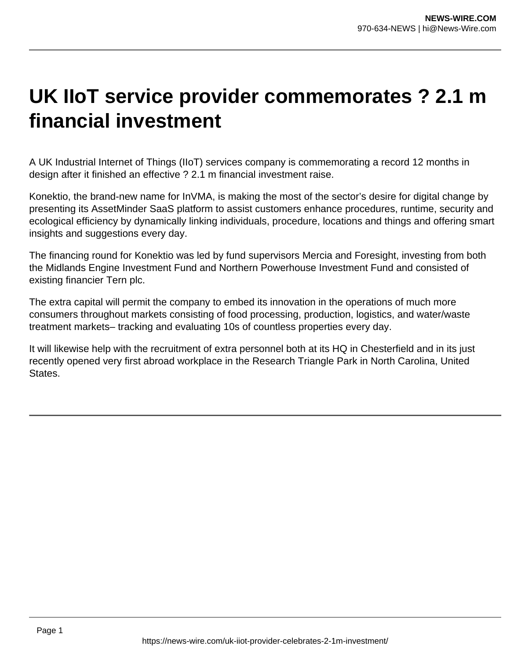## **UK IIoT service provider commemorates ? 2.1 m financial investment**

A UK Industrial Internet of Things (IIoT) services company is commemorating a record 12 months in design after it finished an effective ? 2.1 m financial investment raise.

Konektio, the brand-new name for InVMA, is making the most of the sector's desire for digital change by presenting its AssetMinder SaaS platform to assist customers enhance procedures, runtime, security and ecological efficiency by dynamically linking individuals, procedure, locations and things and offering smart insights and suggestions every day.

The financing round for Konektio was led by fund supervisors Mercia and Foresight, investing from both the Midlands Engine Investment Fund and Northern Powerhouse Investment Fund and consisted of existing financier Tern plc.

The extra capital will permit the company to embed its innovation in the operations of much more consumers throughout markets consisting of food processing, production, logistics, and water/waste treatment markets– tracking and evaluating 10s of countless properties every day.

It will likewise help with the recruitment of extra personnel both at its HQ in Chesterfield and in its just recently opened very first abroad workplace in the Research Triangle Park in North Carolina, United States.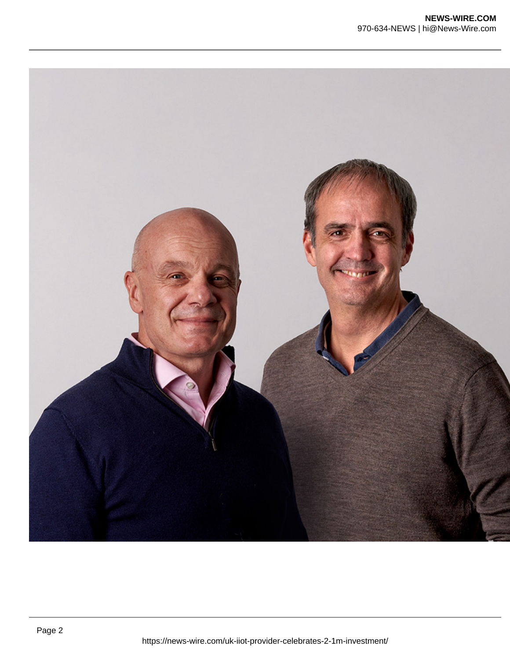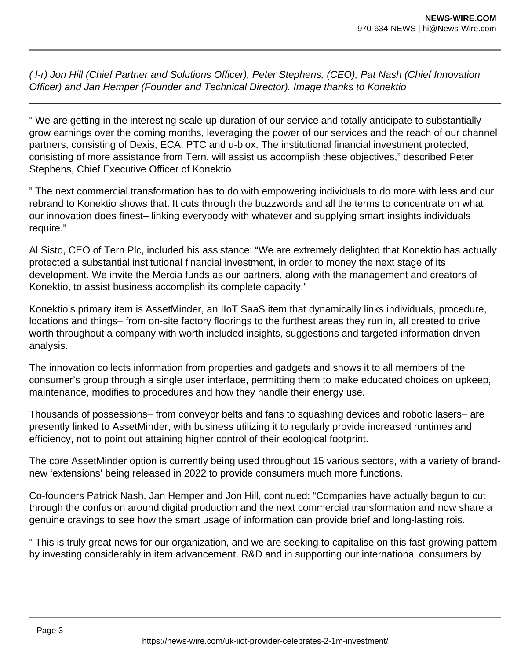( l-r) Jon Hill (Chief Partner and Solutions Officer), Peter Stephens, (CEO), Pat Nash (Chief Innovation Officer) and Jan Hemper (Founder and Technical Director). Image thanks to Konektio

" We are getting in the interesting scale-up duration of our service and totally anticipate to substantially grow earnings over the coming months, leveraging the power of our services and the reach of our channel partners, consisting of Dexis, ECA, PTC and u-blox. The institutional financial investment protected, consisting of more assistance from Tern, will assist us accomplish these objectives," described Peter Stephens, Chief Executive Officer of Konektio

" The next commercial transformation has to do with empowering individuals to do more with less and our rebrand to Konektio shows that. It cuts through the buzzwords and all the terms to concentrate on what our innovation does finest– linking everybody with whatever and supplying smart insights individuals require."

Al Sisto, CEO of Tern Plc, included his assistance: "We are extremely delighted that Konektio has actually protected a substantial institutional financial investment, in order to money the next stage of its development. We invite the Mercia funds as our partners, along with the management and creators of Konektio, to assist business accomplish its complete capacity."

Konektio's primary item is AssetMinder, an IIoT SaaS item that dynamically links individuals, procedure, locations and things– from on-site factory floorings to the furthest areas they run in, all created to drive worth throughout a company with worth included insights, suggestions and targeted information driven analysis.

The innovation collects information from properties and gadgets and shows it to all members of the consumer's group through a single user interface, permitting them to make educated choices on upkeep, maintenance, modifies to procedures and how they handle their energy use.

Thousands of possessions– from conveyor belts and fans to squashing devices and robotic lasers– are presently linked to AssetMinder, with business utilizing it to regularly provide increased runtimes and efficiency, not to point out attaining higher control of their ecological footprint.

The core AssetMinder option is currently being used throughout 15 various sectors, with a variety of brandnew 'extensions' being released in 2022 to provide consumers much more functions.

Co-founders Patrick Nash, Jan Hemper and Jon Hill, continued: "Companies have actually begun to cut through the confusion around digital production and the next commercial transformation and now share a genuine cravings to see how the smart usage of information can provide brief and long-lasting rois.

" This is truly great news for our organization, and we are seeking to capitalise on this fast-growing pattern by investing considerably in item advancement, R&D and in supporting our international consumers by